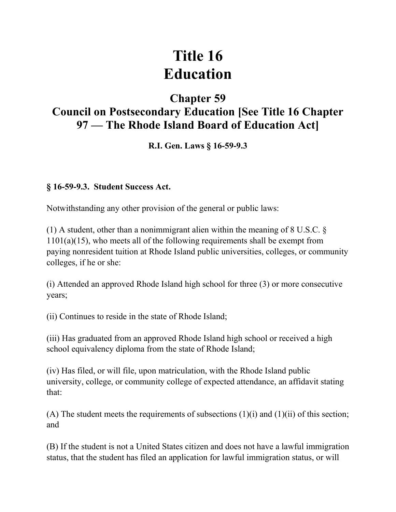# **Title 16 Education**

## **Chapter 59**

## **Council on Postsecondary Education [See Title 16 Chapter 97 — The Rhode Island Board of Education Act]**

#### **R.I. Gen. Laws § 16-59-9.3**

#### **§ 16-59-9.3. Student Success Act.**

Notwithstanding any other provision of the general or public laws:

(1) A student, other than a nonimmigrant alien within the meaning of 8 U.S.C. § 1101(a)(15), who meets all of the following requirements shall be exempt from paying nonresident tuition at Rhode Island public universities, colleges, or community colleges, if he or she:

(i) Attended an approved Rhode Island high school for three (3) or more consecutive years;

(ii) Continues to reside in the state of Rhode Island;

(iii) Has graduated from an approved Rhode Island high school or received a high school equivalency diploma from the state of Rhode Island;

(iv) Has filed, or will file, upon matriculation, with the Rhode Island public university, college, or community college of expected attendance, an affidavit stating that:

(A) The student meets the requirements of subsections  $(1)(i)$  and  $(1)(ii)$  of this section; and

(B) If the student is not a United States citizen and does not have a lawful immigration status, that the student has filed an application for lawful immigration status, or will